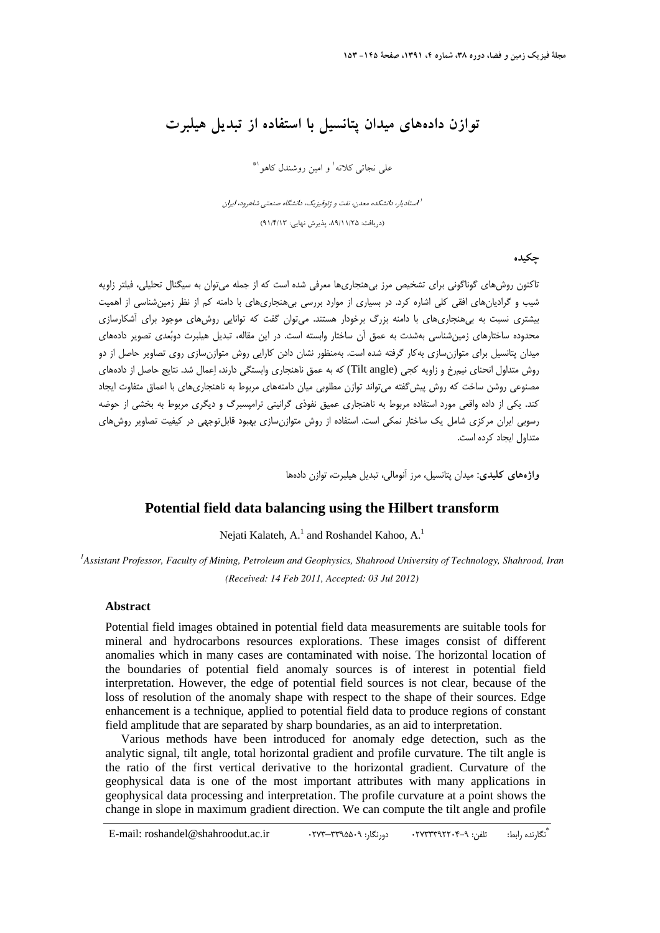# **توازن دادههاي ميدان پتانسيل با استفاده از تبديل هيلبرت**

علي نجاتي كلاته<sup>ا</sup> و امين روشندل كاهو <sup>۱</sup>\*

استاديار، دانشكده معدن، نفت <sup>و</sup> ژئوفيزيك، دانشگاه صنعتي شاهرود، ايران <sup>1</sup> (دريافت: ،89/11/25 پذيرش نهايي: 91/4/13)

**چكيده** 

تاكنون روشهاي گوناگوني براي تشخيص مرز بي هنجاريها معرفي شده است كه از جمله ميتوان به سيگنال تحليلي، فيلتر زاويه شيب و گراديانهاي افقي كلي اشاره كرد. در بسياري از موارد بررسي بيهنجاريهاي با دامنه كم از نظر زمينشناسي از اهميت بيشتري نسبت به بي هنجاريهاي با دامنه بزرگ برخودار هستند. ميتوان گفت كه توانايي روشهاي موجود براي آشكارسازي محدوده ساختارهاي زمينشناسي بهشدت به عمق آن ساختار وابسته است. در اين مقاله، تبديل هيلبرت دوبعدي تصوير دادههاي ميدان پتانسيل براي متوازنسازي بهكار گرفته شده است. بهمنظور نشان دادن كارايي روش متوازنسازي روي تصاوير حاصل از دو روش متداول انحناي نيمرخ و زاويه كجي (angle Tilt (كه به عمق ناهنجاري وابستگي دارند، اعمال شد. نتايج حاصل از دادههاي مصنوعي روشن ساخت كه روش پيشگفته ميتواند توازن مطلوبي ميان دامنههاي مربوط به ناهنجاريهاي با اعماق متفاوت ايجاد كند. يكي از داده واقعي مورد استفاده مربوط به ناهنجاري عميق نفوذي گرانيتي ترامپسبرگ و ديگري مربوط به بخشي از حوضه رسوبي ايران مركزي شامل يك ساختار نمكي است. استفاده از روش متوازنسازي بهبود قابلتوجهي در كيفيت تصاوير روشهاي متداول ايجاد كرده است.

**واژههاي كليدي:** ميدان پتانسيل، مرز آنومالي، تبديل هيلبرت، توازن دادهها

## **Potential field data balancing using the Hilbert transform**

Nejati Kalateh, A.<sup>1</sup> and Roshandel Kahoo, A.<sup>1</sup>

*1 Assistant Professor, Faculty of Mining, Petroleum and Geophysics, Shahrood University of Technology, Shahrood, Iran (Received: 14 Feb 2011, Accepted: 03 Jul 2012)* 

#### **Abstract**

Potential field images obtained in potential field data measurements are suitable tools for mineral and hydrocarbons resources explorations. These images consist of different anomalies which in many cases are contaminated with noise. The horizontal location of the boundaries of potential field anomaly sources is of interest in potential field interpretation. However, the edge of potential field sources is not clear, because of the loss of resolution of the anomaly shape with respect to the shape of their sources. Edge enhancement is a technique, applied to potential field data to produce regions of constant field amplitude that are separated by sharp boundaries, as an aid to interpretation.

Various methods have been introduced for anomaly edge detection, such as the analytic signal, tilt angle, total horizontal gradient and profile curvature. The tilt angle is the ratio of the first vertical derivative to the horizontal gradient. Curvature of the geophysical data is one of the most important attributes with many applications in geophysical data processing and interpretation. The profile curvature at a point shows the change in slope in maximum gradient direction. We can compute the tilt angle and profile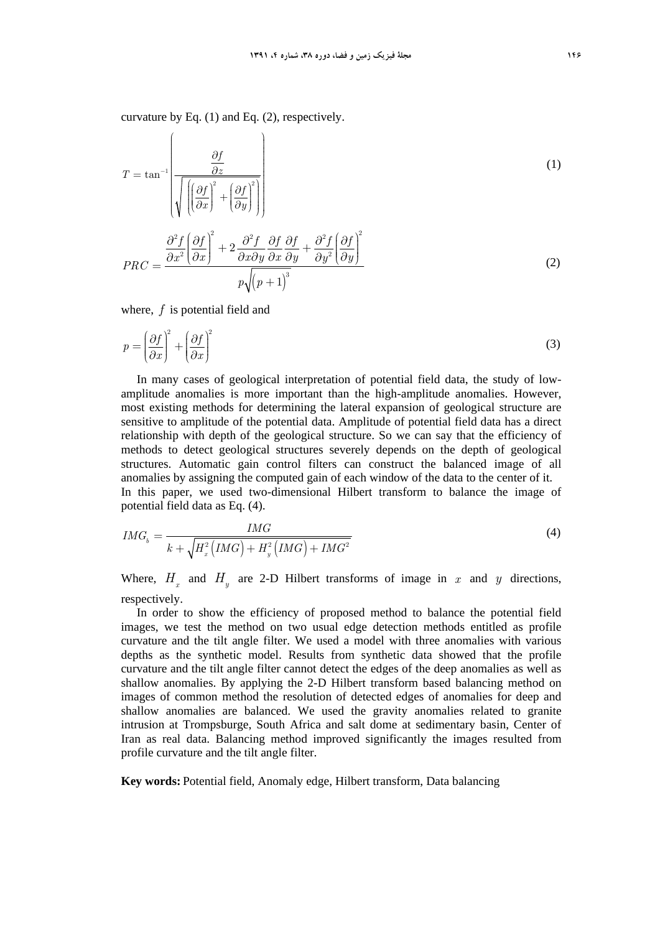curvature by Eq. (1) and Eq. (2), respectively.

$$
T = \tan^{-1} \left( \frac{\frac{\partial f}{\partial z}}{\sqrt{\left( \left( \frac{\partial f}{\partial x} \right)^2 + \left( \frac{\partial f}{\partial y} \right)^2 \right)}} \right)
$$
  
\n
$$
PRC = \frac{\frac{\partial^2 f}{\partial x^2} \left( \frac{\partial f}{\partial x} \right)^2 + 2 \frac{\partial^2 f}{\partial x \partial y} \frac{\partial f}{\partial x} \frac{\partial f}{\partial y} + \frac{\partial^2 f}{\partial y^2} \left( \frac{\partial f}{\partial y} \right)^2}{\frac{\partial^2 f}{\partial y^2} \left( \frac{\partial f}{\partial y} \right)^3}
$$
(2)

where, *f* is potential field and

$$
p = \left(\frac{\partial f}{\partial x}\right)^2 + \left(\frac{\partial f}{\partial x}\right)^2\tag{3}
$$

In many cases of geological interpretation of potential field data, the study of lowamplitude anomalies is more important than the high-amplitude anomalies. However, most existing methods for determining the lateral expansion of geological structure are sensitive to amplitude of the potential data. Amplitude of potential field data has a direct relationship with depth of the geological structure. So we can say that the efficiency of methods to detect geological structures severely depends on the depth of geological structures. Automatic gain control filters can construct the balanced image of all anomalies by assigning the computed gain of each window of the data to the center of it. In this paper, we used two-dimensional Hilbert transform to balance the image of potential field data as Eq. (4).

$$
IMG_b = \frac{IMG}{k + \sqrt{H_x^2 \left( IMG \right) + H_y^2 \left( IMG \right) + IMG^2}}
$$
\n
$$
\tag{4}
$$

Where,  $H_x$  and  $H_y$  are 2-D Hilbert transforms of image in *x* and *y* directions, respectively.

In order to show the efficiency of proposed method to balance the potential field images, we test the method on two usual edge detection methods entitled as profile curvature and the tilt angle filter. We used a model with three anomalies with various depths as the synthetic model. Results from synthetic data showed that the profile curvature and the tilt angle filter cannot detect the edges of the deep anomalies as well as shallow anomalies. By applying the 2-D Hilbert transform based balancing method on images of common method the resolution of detected edges of anomalies for deep and shallow anomalies are balanced. We used the gravity anomalies related to granite intrusion at Trompsburge, South Africa and salt dome at sedimentary basin, Center of Iran as real data. Balancing method improved significantly the images resulted from profile curvature and the tilt angle filter.

**Key words:** Potential field, Anomaly edge, Hilbert transform, Data balancing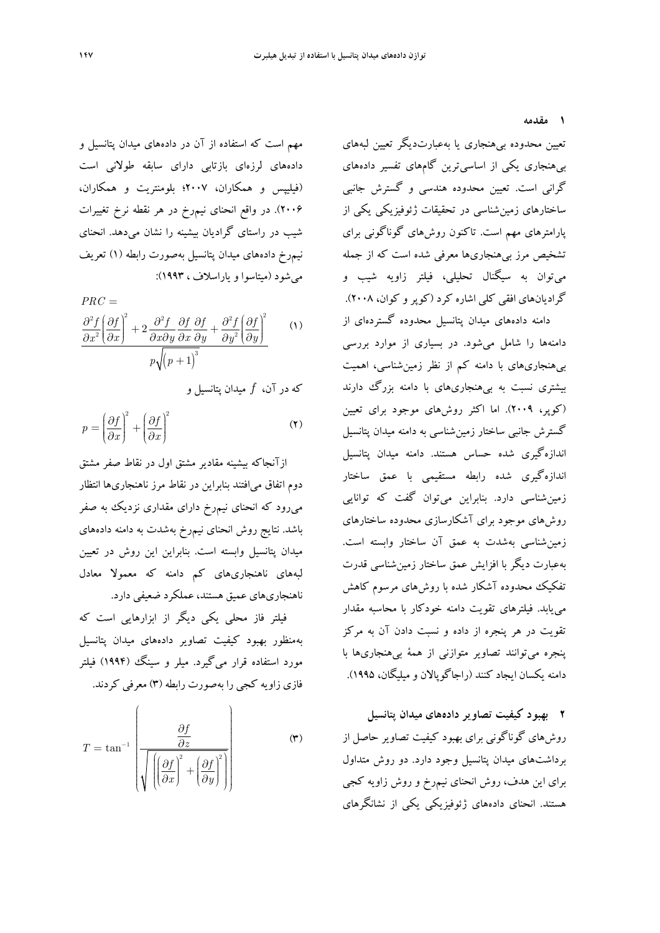**1 مقدمه** 

تعيين محدوده بيهنجاري يا بهعبارتديگر تعيين لبههاي بيهنجاري يكي از اساسيترين گامهاي تفسير دادههاي گراني است. تعيين محدوده هندسي و گسترش جانبي ساختارهاي زمينشناسي در تحقيقات ژئوفيزيكي يكي از پارامترهاي مهم است. تاكنون روشهاي گوناگوني براي تشخيص مرز بيهنجاريها معرفي شده است كه از جمله ميتوان به سيگنال تحليلي، فيلتر زاويه شيب و گراديانهاي افقي كلي اشاره كرد (كوپرو كوان، 2008). دامنه دادههاي ميدان پتانسيل محدوده گستردهاي از دامنهها را شامل ميشود. در بسياري از موارد بررسي بيهنجاريهاي با دامنه كم از نظر زمينشناسي، اهميت بيشتري نسبت به بيهنجاريهاي با دامنه بزرگ دارند (كوپر، 2009). اما اكثر روشهاي موجود براي تعيين گسترش جانبي ساختار زمينشناسي به دامنه ميدان پتانسيل اندازهگيري شده حساس هستند. دامنه ميدان پتانسيل اندازهگيري شده رابطه مستقيمي با عمق ساختار زمينشناسي دارد. بنابراين ميتوان گفت كه توانايي روشهاي موجود براي آشكارسازي محدوده ساختارهاي زمينشناسي بهشدت به عمق آن ساختار وابسته است. بهعبارت ديگر با افزايش عمق ساختار زمينشناسي قدرت تفكيك محدوده آشكار شده با روشهاي مرسوم كاهش مييابد. فيلترهاي تقويت دامنه خودكار با محاسبه مقدار تقويت در هر پنجره از داده و نسبت دادن آن به مركز پنجره ميتوانند تصاوير متوازني از همة بيهنجاريها با دامنه يكسان ايجاد كنند (راجاگوپالان و ميليگان، 1995).

**2 بهبود كيفيت تصاوير دادههاي ميدان پتانسيل**  روشهاي گوناگوني براي بهبود كيفيت تصاوير حاصل از برداشتهاي ميدان پتانسيل وجود دارد. دو روش متداول براي اين هدف، روش انحناي نيمرخ و روش زاويه كجي هستند. انحناي دادههاي ژئوفيزيكي يكي از نشانگرهاي

مهم است كه استفاده از آن در دادههاي ميدان پتانسيل و دادههاي لرزهاي بازتابي داراي سابقه طولاني است (فيليپس و همكاران، 2007؛ بلومنتريت و همكاران، 2006). در واقع انحناي نيمرخ در هر نقطه نرخ تغييرات شيب در راستاي گراديان بيشينه را نشان ميدهد. انحناي نيمرخ دادههاي ميدان پتانسيل بهصورت رابطه (1) تعريف ميشود (ميتاسوا و ياراسلاف ، 1993):

 (1)  $p\sqrt{(p+1)}^3$  $2 f (2t)^2$   $2^2 f (2t)^2$  $\frac{f}{r^2} \left[ \frac{\partial f}{\partial x} \right]^2 + 2 \frac{\partial^2 f}{\partial x \partial y} \frac{\partial f}{\partial x} \frac{\partial f}{\partial y} + \frac{\partial^2 f}{\partial y^2} \left[ \frac{\partial f}{\partial y} \right]$  $PRC =$  $\partial x^2\left(\partial x\right)$  *a*  $\partial x\partial y\ \partial x\ \partial y$   $\partial y^2\left(\partial y\right)$  $\frac{\partial^2 f}{\partial x^2} \left( \frac{\partial f}{\partial x^2} \right)^2 + 2 \frac{\partial^2 f}{\partial x \partial x \partial x} \frac{\partial f}{\partial x \partial x} + \frac{\partial^2 f}{\partial x \partial x \partial x} \left( \frac{\partial f}{\partial x} \right)^2$  $\partial x^2\,big(\partial x\big) \quad \quad \partial x \partial y \; \partial x \; \partial y \quad \partial y^2\, \big(\partial y\big)$ 

كه در آن، *f* ميدان پتانسيل و

$$
p = \left(\frac{\partial f}{\partial x}\right)^2 + \left(\frac{\partial f}{\partial x}\right)^2\tag{7}
$$

ازآنجاكه بيشينه مقادير مشتق اول در نقاط صفر مشتق دوم اتفاق ميافتند بنابراين در نقاط مرز ناهنجاريها انتظار ميرود كه انحناي نيمرخ داراي مقداري نزديك به صفر باشد. نتايج روش انحناي نيمرخ بهشدت به دامنه دادههاي ميدان پتانسيل وابسته است. بنابراين اين روش در تعيين لبههاي ناهنجاريهاي كم دامنه كه معمولا معادل ناهنجاريهاي عميق هستند، عملكرد ضعيفي دارد.

فيلتر فاز محلي يكي ديگر از ابزارهايي است كه بهمنظور بهبود كيفيت تصاوير دادههاي ميدان پتانسيل مورد استفاده قرار ميگيرد. ميلر و سينگ (1994) فيلتر فازي زاويه كجي را به صورت رابطه (3) معرفي كردند.

$$
T = \tan^{-1} \left( \frac{\frac{\partial f}{\partial z}}{\sqrt{\left( \left( \frac{\partial f}{\partial x} \right)^2 + \left( \frac{\partial f}{\partial y} \right)^2 \right)}} \right)
$$
 (7)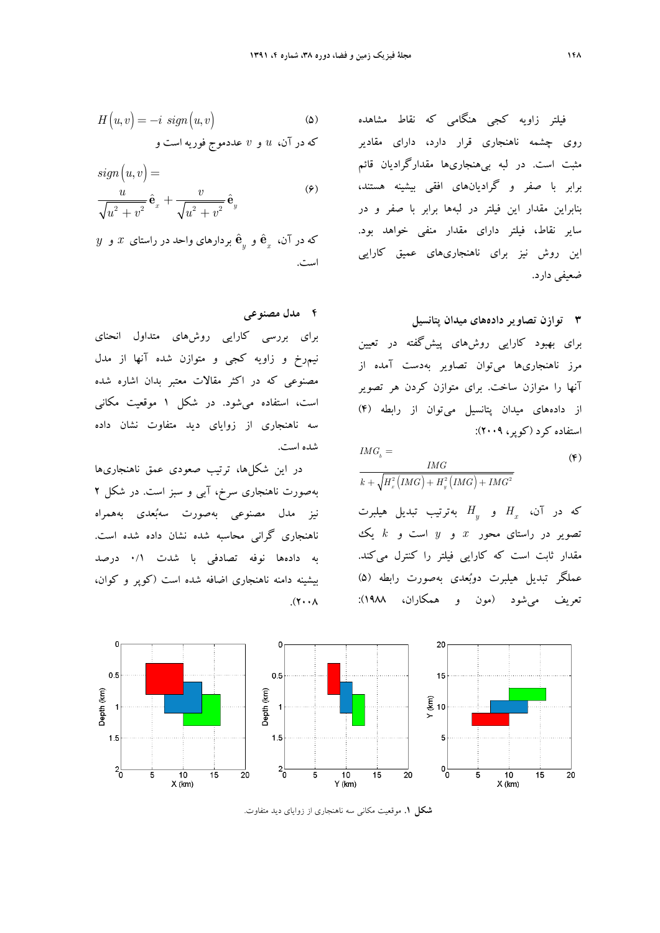$$
H(u,v) = -i \ sign(u,v) \tag{2}
$$

كه در آن، *u* و *v* عددموج فوريه است و

$$
sign(u, v) = \frac{u}{\sqrt{u^2 + v^2}} \hat{\mathbf{e}}_x + \frac{v}{\sqrt{u^2 + v^2}} \hat{\mathbf{e}}_y
$$
\n
$$
(9)
$$

 $y$  كه در آن،  $\hat{\textbf{e}}_{{}_y}$  و  $\hat{\textbf{e}}_{{}_y}$  بردارهاى واحد در راستاى  $x$  و است.

#### **4 مدل مصنوعي**

براي بررسي كارايي روشهاي متداول انحناي نيمرخ و زاويه كجي و متوازن شده آنها از مدل مصنوعي كه در اكثر مقالات معتبر بدان اشاره شده است، استفاده ميشود. در شكل 1 موقعيت مكاني سه ناهنجاري از زواياي ديد متفاوت نشان داده شده است.

در اين شكلها، ترتيب صعودي عمق ناهنجاريها بهصورت ناهنجاري سرخ، آبي و سبز است. در شكل 2 نيز مدل مصنوعي بهصورت سهبعدي بههمراه ناهنجاري گراني محاسبه شده نشان داده شده است. به دادهها نوفه تصادفي با شدت 0/1 درصد بيشينه دامنه ناهنجاري اضافه شده است (كوپر و كوان،  $\Lambda$  فيلتر زاويه كجي هنگامي كه نقاط مشاهده روي چشمه ناهنجاري قرار دارد، داراي مقادير مثبت است. در لبه بيهنجاريها مقدارگراديان قائم برابر با صفر و گراديانهاي افقي بيشينه هستند، بنابراين مقدار اين فيلتر در لبهها برابر با صفر و در ساير نقاط، فيلتر داراي مقدار منفي خواهد بود. اين روش نيز براي ناهنجاريهاي عميق كارايي ضعيفي دارد.

### **3 توازن تصاوير دادههاي ميدان پتانسيل**

براي بهبود كارايي روشهاي پيشگفته در تعيين مرز ناهنجاريها ميتوان تصاوير بهدست آمده از آنها را متوازن ساخت. براي متوازن كردن هر تصوير از دادههاي ميدان پتانسيل ميتوان از رابطه (4) استفاده كرد (كوپر، 2009):

$$
IMGb =
$$
  
\n
$$
\frac{IMG}{k + \sqrt{H_x^2(IMG) + H_y^2(IMG) + IMG^2}}
$$
\n
$$
(*)
$$

*H* و *<sup>x</sup>* كه در آن، *H* بهترتيب تبديل هيلبرت *<sup>y</sup>* تصوير در راستاي محور *x* و *y* است و *k* يك مقدار ثابت است كه كارايي فيلتر را كنترل ميكند. عملگر تبديل هيلبرت دوبعدي بهصورت رابطه (5) تعريف ميشود (مون و همكاران، 1988):



**شكل .1** موقعيت مكاني سه ناهنجاري از زواياي ديد متفاوت.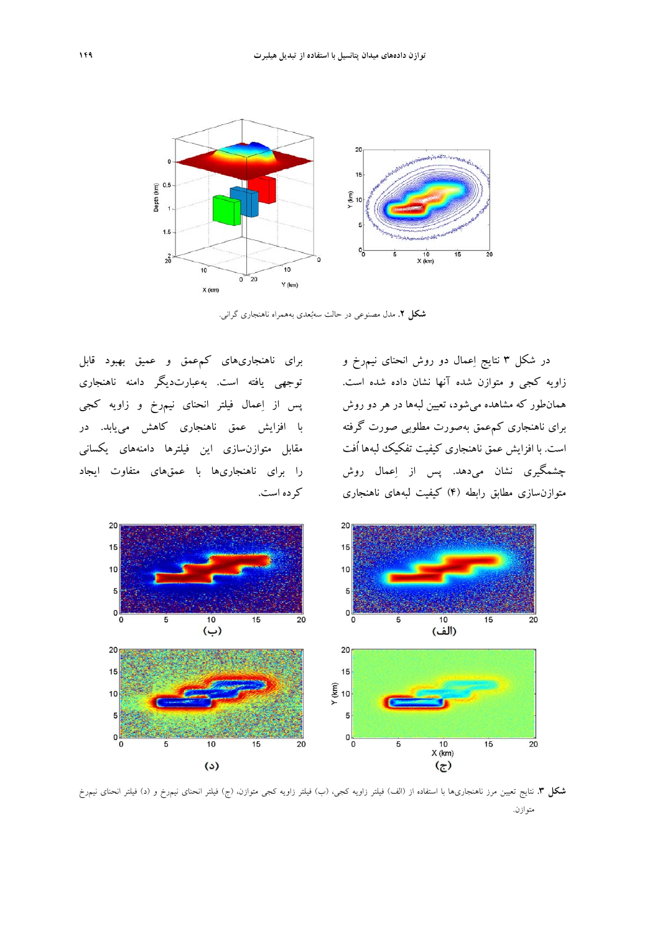

**شكل .2** مدل مصنوعي در حالت سهبعدي بههمراه ناهنجاري گراني.

در شكل 3 نتايج اعمال دو روش انحناي نيمرخ و زاويه كجي و متوازن شده آنها نشان داده شده است. همانطور كه مشاهده ميشود، تعيين لبهها در هر دو روش براي ناهنجاري كمعمق بهصورت مطلوبي صورت گرفته است. با افزايش عمق ناهنجاري كيفيت تفكيك لبهها اُفت چشمگيري نشان ميدهد. پس از اعمال روش متوازنسازي مطابق رابطه (4) كيفيت لبههاي ناهنجاري

براي ناهنجاريهاي كمعمق و عميق بهبود قابل توجهي يافته است. بهعبارتديگر دامنه ناهنجاري پس از اعمال فيلتر انحناي نيمرخ و زاويه كجي با افزايش عمق ناهنجاري كاهش مييابد. در مقابل متوازنسازي اين فيلترها دامنههاي يكساني را براي ناهنجاريها با عمقهاي متفاوت ايجاد كرده است.



**شكل .3** نتايج تعيين مرز ناهنجاريها با استفاده از (الف) فيلتر زاويه كجي، (ب) فيلتر زاويه كجي متوازن، (ج) فيلتر انحناي نيمرخ و (د) فيلتر انحناي نيمرخ متوازن.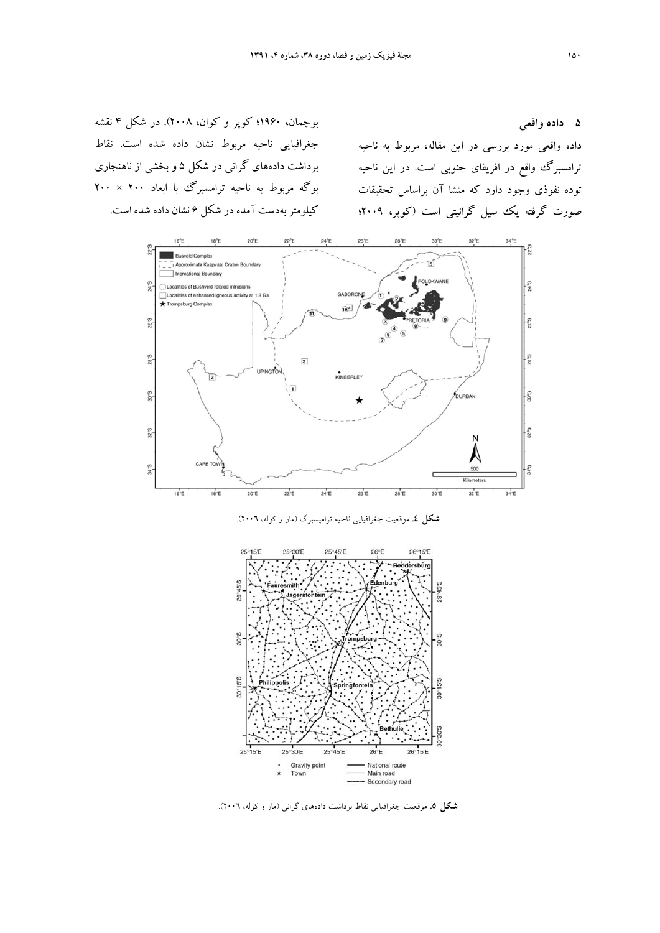بوچمان، 1960؛ كوپر و كوان، 2008). در شكل 4 نقشه جغرافيايي ناحيه مربوط نشان داده شده است. نقاط برداشت دادههاي گراني در شكل 5 و بخشي از ناهنجاري بوگه مربوط به ناحيه ترامسبرگ با ابعاد 200 × 200 كيلومتربهدست آمده در شكل 6 نشان داده شده است.

داده واقعي مورد بررسي در اين مقاله، مربوط به ناحيه ترامسبرگ واقع در افريقای جنوبی است. در اين ناحيه توده نفوذي وجود دارد كه منشا آن براساس تحقيقات صورت گرفته يك سيل گرانيتي است (كوپر، 2009؛



**شكل .4** موقعيت جغرافيايي ناحيه ترامپسبرگ (مار و كوله، 2006).



**شكل .5** موقعيت جغرافيايي نقاط برداشت دادههاي گراني (مار و كوله، 2006).

**5 داده واقعي**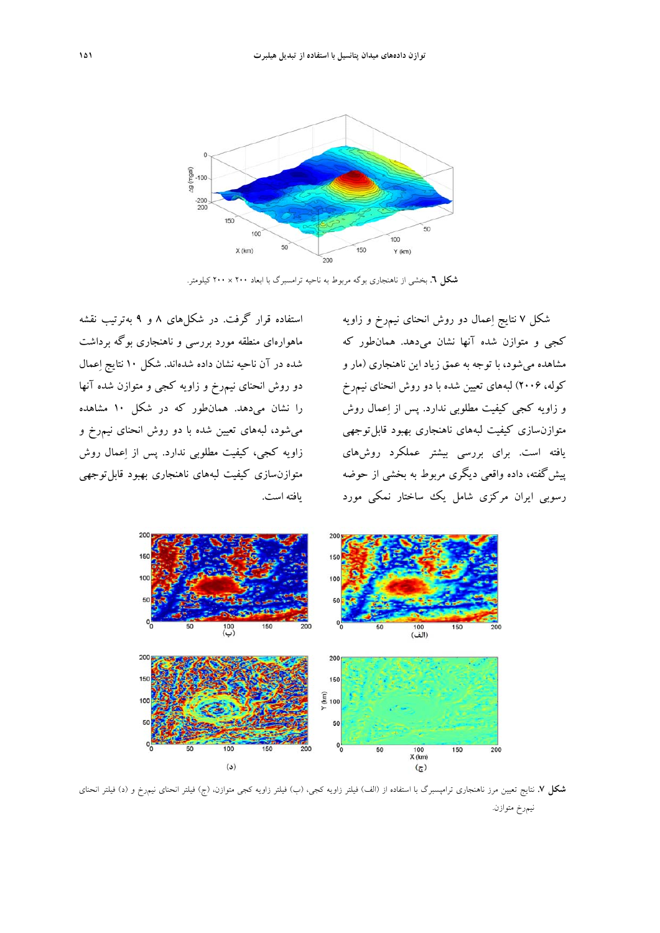

**شكل .6** بخشي از ناهنجاري بوگه مربوط به ناحيه ترامسبرگ با ابعاد 200 × 200 كيلومتر.

شكل 7 نتايج اعمال دو روش انحناي نيمرخ و زاويه كجي و متوازن شده آنها نشان ميدهد. همانطور كه مشاهده ميشود، با توجه به عمق زياد اين ناهنجاري (مار و كوله، 2006) لبههاي تعيين شده با دو روش انحناي نيمرخ و زاويه كجي كيفيت مطلوبي ندارد. پس از اعمال روش متوازنسازي كيفيت لبههاي ناهنجاري بهبود قابلتوجهي يافته است. براي بررسي بيشتر عملكرد روشهاي پيشگفته، داده واقعي ديگري مربوط به بخشي از حوضه رسوبي ايران مركزي شامل يك ساختار نمكي مورد

استفاده قرار گرفت. در شكلهاي 8 و 9 بهترتيب نقشه ماهوارهاي منطقه مورد بررسي و ناهنجاري بوگه برداشت شده در آن ناحيه نشان داده شدهاند. شكل 10 نتايج اعمال دو روش انحناي نيمرخ و زاويه كجي و متوازن شده آنها را نشان ميدهد. همانطور كه در شكل 10 مشاهده ميشود، لبههاي تعيين شده با دو روش انحناي نيمرخ و زاويه كجي، كيفيت مطلوبي ندارد. پس از اعمال روش متوازنسازي كيفيت لبههاي ناهنجاري بهبود قابلتوجهي يافته است.



**شكل .7** نتايج تعيين مرز ناهنجاري ترامپسبرگ با استفاده از (الف) فيلتر زاويه كجي، (ب) فيلتر زاويه كجي متوازن، (ج) فيلتر انحناي نيمرخ و (د) فيلتر انحناي نيمرخ متوازن.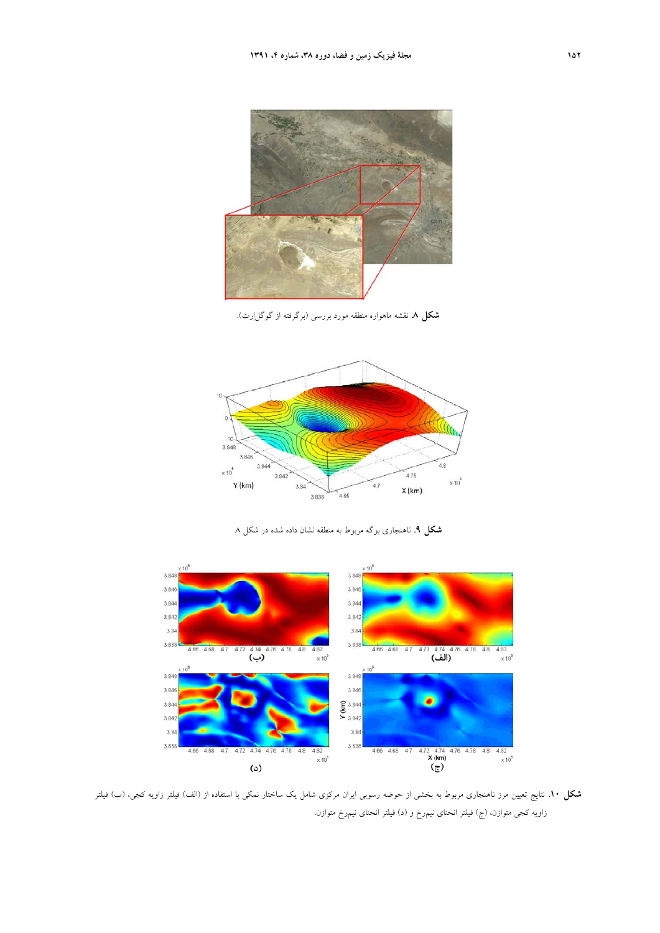

**شكل .8** نقشه ماهواره منطقه مورد بررسي (برگرفته از گوگلارت).



**شكل .9** ناهنجاري بوگه مربوط به منطقه نشان داده شده در شكل .8



**شكل .10** نتايج تعيين مرز ناهنجاري مربوط به بخشي از حوضه رسوبي ايران مركزي شامل يك ساختار نمكي با استفاده از (الف) فيلتر زاويه كجي، (ب) فيلتر زاويه كجي متوازن، (ج) فيلتر انحناي نيمرخ و (د) فيلتر انحناي نيمرخ متوازن.